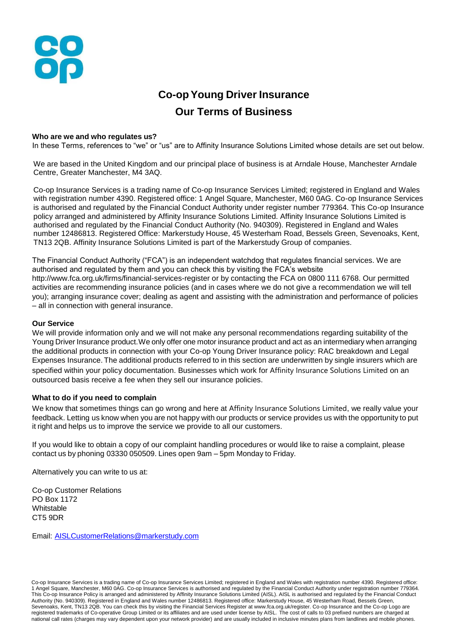

# **Co-opYoung Driver Insurance Our Terms of Business**

### **Who are we and who regulates us?**

In these Terms, references to "we" or "us" are to Affinity Insurance Solutions Limited whose details are set out below.

We are based in the United Kingdom and our principal place of business is at Arndale House, Manchester Arndale Centre, Greater Manchester, M4 3AQ.

Co-op Insurance Services is a trading name of Co-op Insurance Services Limited; registered in England and Wales with registration number 4390. Registered office: 1 Angel Square, Manchester, M60 0AG. Co-op Insurance Services is authorised and regulated by the Financial Conduct Authority under register number 779364. This Co-op Insurance policy arranged and administered by Affinity Insurance Solutions Limited. Affinity Insurance Solutions Limited is authorised and regulated by the Financial Conduct Authority (No. 940309). Registered in England and Wales number 12486813. Registered Office: Markerstudy House, 45 Westerham Road, Bessels Green, Sevenoaks, Kent, TN13 2QB. Affinity Insurance Solutions Limited is part of the Markerstudy Group of companies.

The Financial Conduct Authority ("FCA") is an independent watchdog that regulates financial services. We are authorised and regulated by them and you can check this by visiting the FCA's website http://www.fca.org.uk/firms/financial-services-register or by contacting the FCA on 0800 111 6768. Our permitted activities are recommending insurance policies (and in cases where we do not give a recommendation we will tell you); arranging insurance cover; dealing as agent and assisting with the administration and performance of policies – all in connection with general insurance.

### **Our Service**

We will provide information only and we will not make any personal recommendations regarding suitability of the Young Driver Insurance product.We only offer one motor insurance product and act as an intermediary when arranging the additional products in connection with your Co-op Young Driver Insurance policy: RAC breakdown and Legal Expenses Insurance. The additional products referred to in this section are underwritten by single insurers which are specified within your policy documentation. Businesses which work for Affinity Insurance Solutions Limited on an outsourced basis receive a fee when they sell our insurance policies.

### **What to do if you need to complain**

We know that sometimes things can go wrong and here at Affinity Insurance Solutions Limited, we really value your feedback. Letting us know when you are not happy with our products or service provides us with the opportunity to put it right and helps us to improve the service we provide to all our customers.

If you would like to obtain a copy of our complaint handling procedures or would like to raise a complaint, please contact us by phoning 03330 050509. Lines open 9am – 5pm Monday to Friday.

Alternatively you can write to us at:

Co-op Customer Relations PO Box 1172 Whitstable CT5 9DR

Email: [AISLCustomerRelations@markerstudy.com](mailto:AISLCustomerRelations@markerstudy.com)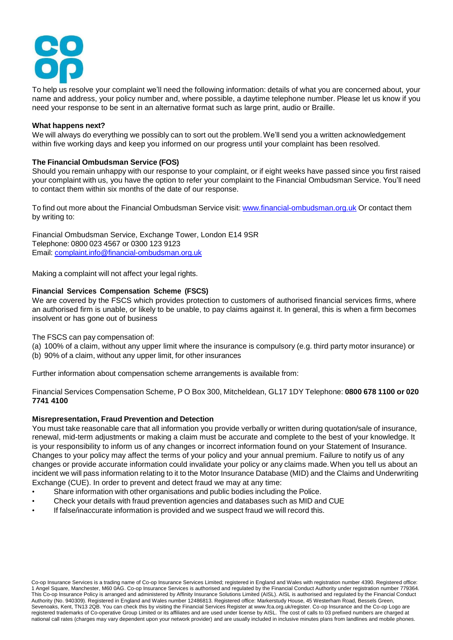

To help us resolve your complaint we'll need the following information: details of what you are concerned about, your name and address, your policy number and, where possible, a daytime telephone number. Please let us know if you need your response to be sent in an alternative format such as large print, audio or Braille.

# **What happens next?**

We will always do everything we possibly can to sort out the problem.We'll send you a written acknowledgement within five working days and keep you informed on our progress until your complaint has been resolved.

# **The Financial Ombudsman Service (FOS)**

Should you remain unhappy with our response to your complaint, or if eight weeks have passed since you first raised your complaint with us, you have the option to refer your complaint to the Financial Ombudsman Service. You'll need to contact them within six months of the date of our response.

To find out more about the Financial Ombudsman Service visit: [www.financial-ombudsman.org.uk](http://www.financial-ombudsman.org.uk/) Or contact them by writing to:

 Financial Ombudsman Service, Exchange Tower, London E14 9SR Telephone: 0800 023 4567 or 0300 123 9123 Email: [complaint.info@financial-ombudsman.org.uk](mailto:complaint.info@financial-ombudsman.org.uk)

Making a complaint will not affect your legal rights.

## **Financial Services Compensation Scheme (FSCS)**

We are covered by the FSCS which provides protection to customers of authorised financial services firms, where an authorised firm is unable, or likely to be unable, to pay claims against it. In general, this is when a firm becomes insolvent or has gone out of business

The FSCS can pay compensation of:

- (a) 100% of a claim, without any upper limit where the insurance is compulsory (e.g. third party motor insurance) or
- (b) 90% of a claim, without any upper limit, for other insurances

Further information about compensation scheme arrangements is available from:

Financial Services Compensation Scheme, P O Box 300, Mitcheldean, GL17 1DY Telephone: **0800 678 1100 or 020 7741 4100**

# **Misrepresentation, Fraud Prevention and Detection**

You must take reasonable care that all information you provide verbally or written during quotation/sale of insurance, renewal, mid-term adjustments or making a claim must be accurate and complete to the best of your knowledge. It is your responsibility to inform us of any changes or incorrect information found on your Statement of Insurance. Changes to your policy may affect the terms of your policy and your annual premium. Failure to notify us of any changes or provide accurate information could invalidate your policy or any claims made.When you tell us about an incident we will pass information relating to it to the Motor Insurance Database (MID) and the Claims and Underwriting Exchange (CUE). In order to prevent and detect fraud we may at any time:

- Share information with other organisations and public bodies including the Police.
- Check your details with fraud prevention agencies and databases such as MID and CUE
- If false/inaccurate information is provided and we suspect fraud we will record this.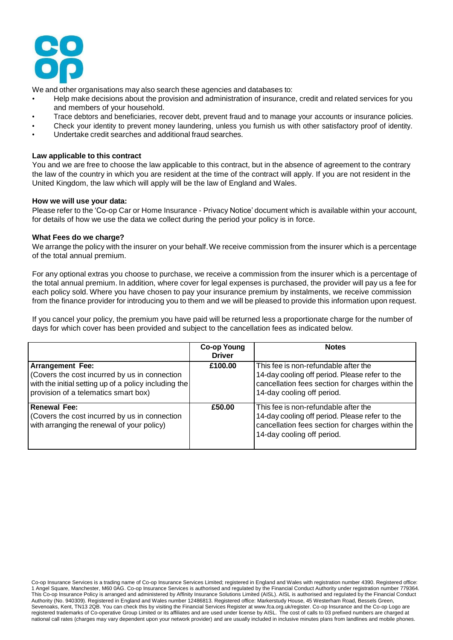

We and other organisations may also search these agencies and databases to:

- Help make decisions about the provision and administration of insurance, credit and related services for you and members of your household.
- Trace debtors and beneficiaries, recover debt, prevent fraud and to manage your accounts or insurance policies.
- Check your identity to prevent money laundering, unless you furnish us with other satisfactory proof of identity.
- Undertake credit searches and additional fraud searches.

## **Law applicable to this contract**

You and we are free to choose the law applicable to this contract, but in the absence of agreement to the contrary the law of the country in which you are resident at the time of the contract will apply. If you are not resident in the United Kingdom, the law which will apply will be the law of England and Wales.

## **How we will use your data:**

Please refer to the 'Co-op Car or Home Insurance - Privacy Notice' document which is available within your account, for details of how we use the data we collect during the period your policy is in force.

### **What Fees do we charge?**

We arrange the policy with the insurer on your behalf.We receive commission from the insurer which is a percentage of the total annual premium.

For any optional extras you choose to purchase, we receive a commission from the insurer which is a percentage of the total annual premium. In addition, where cover for legal expenses is purchased, the provider will pay us a fee for each policy sold. Where you have chosen to pay your insurance premium by instalments, we receive commission from the finance provider for introducing you to them and we will be pleased to provide this information upon request.

If you cancel your policy, the premium you have paid will be returned less a proportionate charge for the number of days for which cover has been provided and subject to the cancellation fees as indicated below.

|                                                                                                                                                                          | <b>Co-op Young</b><br><b>Driver</b> | <b>Notes</b>                                                                                                                                                             |
|--------------------------------------------------------------------------------------------------------------------------------------------------------------------------|-------------------------------------|--------------------------------------------------------------------------------------------------------------------------------------------------------------------------|
| <b>Arrangement Fee:</b><br>Covers the cost incurred by us in connection<br>with the initial setting up of a policy including the<br>provision of a telematics smart box) | £100.00                             | This fee is non-refundable after the<br>14-day cooling off period. Please refer to the<br>cancellation fees section for charges within the<br>14-day cooling off period. |
| Renewal Fee:<br>Covers the cost incurred by us in connection<br>with arranging the renewal of your policy)                                                               | £50.00                              | This fee is non-refundable after the<br>14-day cooling off period. Please refer to the<br>cancellation fees section for charges within the<br>14-day cooling off period. |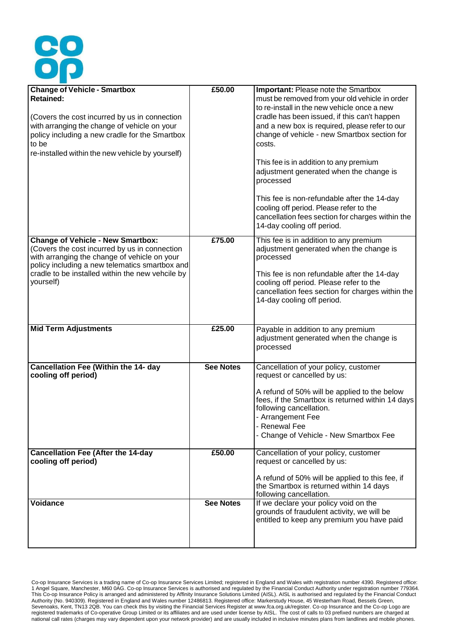

| <b>Change of Vehicle - Smartbox</b><br><b>Retained:</b><br>(Covers the cost incurred by us in connection<br>with arranging the change of vehicle on your<br>policy including a new cradle for the Smartbox<br>to be<br>re-installed within the new vehicle by yourself) | £50.00           | <b>Important: Please note the Smartbox</b><br>must be removed from your old vehicle in order<br>to re-install in the new vehicle once a new<br>cradle has been issued, if this can't happen<br>and a new box is required, please refer to our<br>change of vehicle - new Smartbox section for<br>costs.<br>This fee is in addition to any premium<br>adjustment generated when the change is<br>processed<br>This fee is non-refundable after the 14-day<br>cooling off period. Please refer to the<br>cancellation fees section for charges within the<br>14-day cooling off period. |
|-------------------------------------------------------------------------------------------------------------------------------------------------------------------------------------------------------------------------------------------------------------------------|------------------|---------------------------------------------------------------------------------------------------------------------------------------------------------------------------------------------------------------------------------------------------------------------------------------------------------------------------------------------------------------------------------------------------------------------------------------------------------------------------------------------------------------------------------------------------------------------------------------|
| <b>Change of Vehicle - New Smartbox:</b><br>(Covers the cost incurred by us in connection<br>with arranging the change of vehicle on your<br>policy including a new telematics smartbox and<br>cradle to be installed within the new vehcile by<br>yourself)            | £75.00           | This fee is in addition to any premium<br>adjustment generated when the change is<br>processed<br>This fee is non refundable after the 14-day<br>cooling off period. Please refer to the<br>cancellation fees section for charges within the<br>14-day cooling off period.                                                                                                                                                                                                                                                                                                            |
| <b>Mid Term Adjustments</b>                                                                                                                                                                                                                                             | £25.00           | Payable in addition to any premium<br>adjustment generated when the change is<br>processed                                                                                                                                                                                                                                                                                                                                                                                                                                                                                            |
| <b>Cancellation Fee (Within the 14- day</b><br>cooling off period)                                                                                                                                                                                                      | <b>See Notes</b> | Cancellation of your policy, customer<br>request or cancelled by us:<br>A refund of 50% will be applied to the below<br>fees, if the Smartbox is returned within 14 days<br>following cancellation.<br>- Arrangement Fee<br>- Renewal Fee<br>- Change of Vehicle - New Smartbox Fee                                                                                                                                                                                                                                                                                                   |
| <b>Cancellation Fee (After the 14-day</b><br>cooling off period)                                                                                                                                                                                                        | £50.00           | Cancellation of your policy, customer<br>request or cancelled by us:<br>A refund of 50% will be applied to this fee, if<br>the Smartbox is returned within 14 days<br>following cancellation.                                                                                                                                                                                                                                                                                                                                                                                         |
| Voidance                                                                                                                                                                                                                                                                | <b>See Notes</b> | If we declare your policy void on the<br>grounds of fraudulent activity, we will be<br>entitled to keep any premium you have paid                                                                                                                                                                                                                                                                                                                                                                                                                                                     |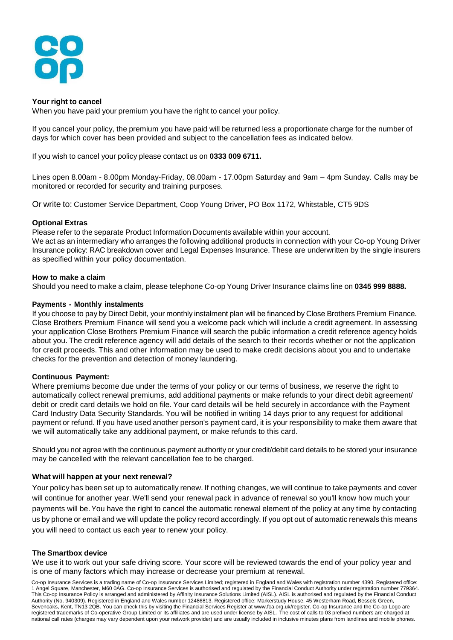

## **Your right to cancel**

When you have paid your premium you have the right to cancel your policy.

If you cancel your policy, the premium you have paid will be returned less a proportionate charge for the number of days for which cover has been provided and subject to the cancellation fees as indicated below.

If you wish to cancel your policy please contact us on **0333 009 6711.**

Lines open 8.00am - 8.00pm Monday-Friday, 08.00am - 17.00pm Saturday and 9am – 4pm Sunday. Calls may be monitored or recorded for security and training purposes.

Or write to: Customer Service Department, Coop Young Driver, PO Box 1172, Whitstable, CT5 9DS

## **Optional Extras**

Please refer to the separate Product Information Documents available within your account.

We act as an intermediary who arranges the following additional products in connection with your Co-op Young Driver Insurance policy: RAC breakdown cover and Legal Expenses Insurance. These are underwritten by the single insurers as specified within your policy documentation.

## **How to make a claim**

Should you need to make a claim, please telephone Co-op Young Driver Insurance claims line on **0345 999 8888.**

## **Payments - Monthly instalments**

If you choose to pay by Direct Debit, your monthly instalment plan will be financed by Close Brothers Premium Finance. Close Brothers Premium Finance will send you a welcome pack which will include a credit agreement. In assessing your application Close Brothers Premium Finance will search the public information a credit reference agency holds about you. The credit reference agency will add details of the search to their records whether or not the application for credit proceeds. This and other information may be used to make credit decisions about you and to undertake checks for the prevention and detection of money laundering.

### **Continuous Payment:**

Where premiums become due under the terms of your policy or our terms of business, we reserve the right to automatically collect renewal premiums, add additional payments or make refunds to your direct debit agreement/ debit or credit card details we hold on file. Your card details will be held securely in accordance with the Payment Card Industry Data Security Standards. You will be notified in writing 14 days prior to any request for additional payment or refund. If you have used another person's payment card, it is your responsibility to make them aware that we will automatically take any additional payment, or make refunds to this card.

Should you not agree with the continuous payment authority or your credit/debit card details to be stored your insurance may be cancelled with the relevant cancellation fee to be charged.

### **What will happen at your next renewal?**

Your policy has been set up to automatically renew. If nothing changes, we will continue to take payments and cover will continue for another year. We'll send your renewal pack in advance of renewal so you'll know how much your payments will be.You have the right to cancel the automatic renewal element of the policy at any time by contacting us by phone or email and we will update the policy record accordingly. If you opt out of automatic renewals this means you will need to contact us each year to renew your policy.

# **The Smartbox device**

We use it to work out your safe driving score. Your score will be reviewed towards the end of your policy year and is one of many factors which may increase or decrease your premium at renewal.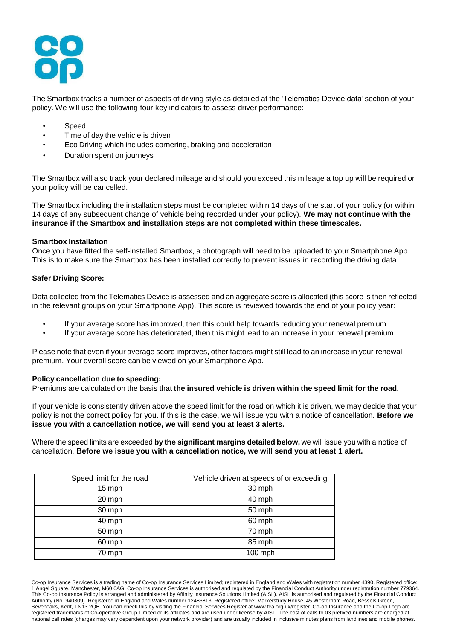

The Smartbox tracks a number of aspects of driving style as detailed at the 'Telematics Device data' section of your policy. We will use the following four key indicators to assess driver performance:

- Speed
- Time of day the vehicle is driven
- Eco Driving which includes cornering, braking and acceleration
- Duration spent on journeys

The Smartbox will also track your declared mileage and should you exceed this mileage a top up will be required or your policy will be cancelled.

The Smartbox including the installation steps must be completed within 14 days of the start of your policy (or within 14 days of any subsequent change of vehicle being recorded under your policy). **We may not continue with the insurance if the Smartbox and installation steps are not completed within these timescales.**

### **Smartbox Installation**

Once you have fitted the self-installed Smartbox, a photograph will need to be uploaded to your Smartphone App. This is to make sure the Smartbox has been installed correctly to prevent issues in recording the driving data.

### **Safer Driving Score:**

Data collected from the Telematics Device is assessed and an aggregate score is allocated (this score is then reflected in the relevant groups on your Smartphone App). This score is reviewed towards the end of your policy year:

- If your average score has improved, then this could help towards reducing your renewal premium.
- If your average score has deteriorated, then this might lead to an increase in your renewal premium.

Please note that even if your average score improves, other factors might still lead to an increase in your renewal premium. Your overall score can be viewed on your Smartphone App.

### **Policy cancellation due to speeding:**

Premiums are calculated on the basis that **the insured vehicle is driven within the speed limit for the road.**

If your vehicle is consistently driven above the speed limit for the road on which it is driven, we may decide that your policy is not the correct policy for you. If this is the case, we will issue you with a notice of cancellation. **Before we issue you with a cancellation notice, we will send you at least 3 alerts.**

Where the speed limits are exceeded **by the significant margins detailed below,** we will issue you with a notice of cancellation. **Before we issue you with a cancellation notice, we will send you at least 1 alert.**

| Speed limit for the road | Vehicle driven at speeds of or exceeding |
|--------------------------|------------------------------------------|
| 15 mph                   | 30 mph                                   |
| 20 mph                   | 40 mph                                   |
| 30 mph                   | 50 mph                                   |
| 40 mph                   | 60 mph                                   |
| 50 mph                   | 70 mph                                   |
| 60 mph                   | 85 mph                                   |
| 70 mph                   | 100 mph                                  |